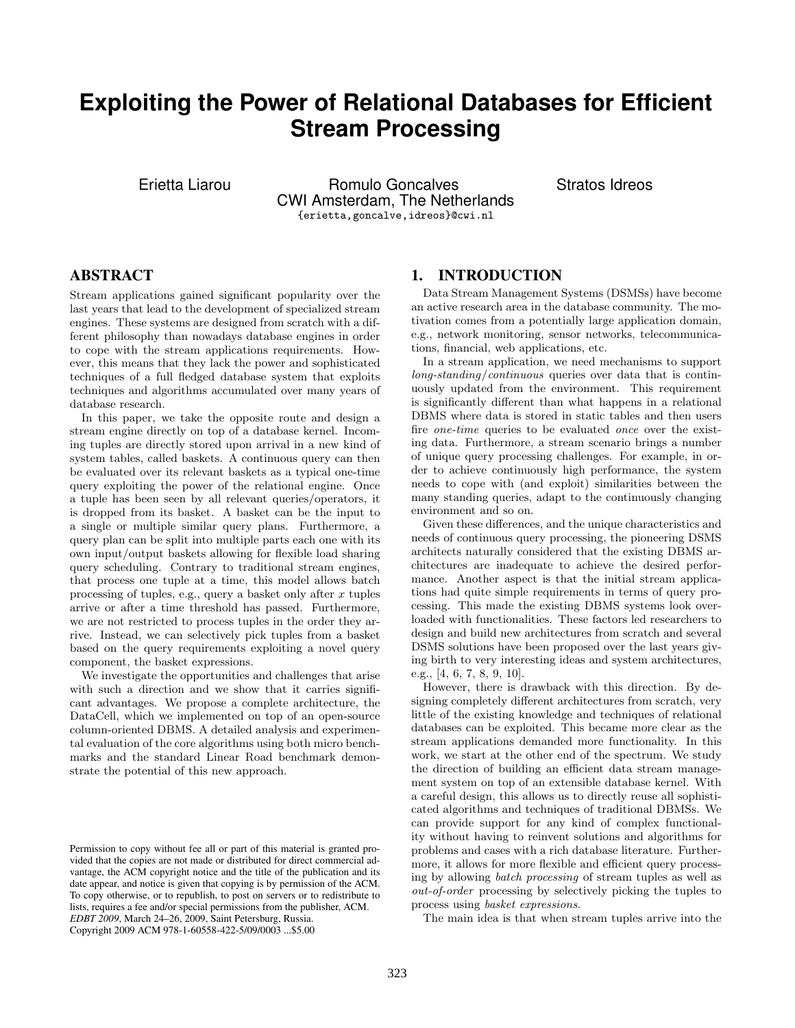# **Exploiting the Power of Relational Databases for Efficient Stream Processing**

Erietta Liarou Romulo Goncalves Stratos Idreos CWI Amsterdam, The Netherlands {erietta,goncalve,idreos}@cwi.nl

## ABSTRACT

Stream applications gained significant popularity over the last years that lead to the development of specialized stream engines. These systems are designed from scratch with a different philosophy than nowadays database engines in order to cope with the stream applications requirements. However, this means that they lack the power and sophisticated techniques of a full fledged database system that exploits techniques and algorithms accumulated over many years of database research.

In this paper, we take the opposite route and design a stream engine directly on top of a database kernel. Incoming tuples are directly stored upon arrival in a new kind of system tables, called baskets. A continuous query can then be evaluated over its relevant baskets as a typical one-time query exploiting the power of the relational engine. Once a tuple has been seen by all relevant queries/operators, it is dropped from its basket. A basket can be the input to a single or multiple similar query plans. Furthermore, a query plan can be split into multiple parts each one with its own input/output baskets allowing for flexible load sharing query scheduling. Contrary to traditional stream engines, that process one tuple at a time, this model allows batch processing of tuples, e.g., query a basket only after  $x$  tuples arrive or after a time threshold has passed. Furthermore, we are not restricted to process tuples in the order they arrive. Instead, we can selectively pick tuples from a basket based on the query requirements exploiting a novel query component, the basket expressions.

We investigate the opportunities and challenges that arise with such a direction and we show that it carries significant advantages. We propose a complete architecture, the DataCell, which we implemented on top of an open-source column-oriented DBMS. A detailed analysis and experimental evaluation of the core algorithms using both micro benchmarks and the standard Linear Road benchmark demonstrate the potential of this new approach.

## 1. INTRODUCTION

Data Stream Management Systems (DSMSs) have become an active research area in the database community. The motivation comes from a potentially large application domain, e.g., network monitoring, sensor networks, telecommunications, financial, web applications, etc.

In a stream application, we need mechanisms to support long-standing/continuous queries over data that is continuously updated from the environment. This requirement is significantly different than what happens in a relational DBMS where data is stored in static tables and then users fire one-time queries to be evaluated once over the existing data. Furthermore, a stream scenario brings a number of unique query processing challenges. For example, in order to achieve continuously high performance, the system needs to cope with (and exploit) similarities between the many standing queries, adapt to the continuously changing environment and so on.

Given these differences, and the unique characteristics and needs of continuous query processing, the pioneering DSMS architects naturally considered that the existing DBMS architectures are inadequate to achieve the desired performance. Another aspect is that the initial stream applications had quite simple requirements in terms of query processing. This made the existing DBMS systems look overloaded with functionalities. These factors led researchers to design and build new architectures from scratch and several DSMS solutions have been proposed over the last years giving birth to very interesting ideas and system architectures, e.g., [4, 6, 7, 8, 9, 10].

However, there is drawback with this direction. By designing completely different architectures from scratch, very little of the existing knowledge and techniques of relational databases can be exploited. This became more clear as the stream applications demanded more functionality. In this work, we start at the other end of the spectrum. We study the direction of building an efficient data stream management system on top of an extensible database kernel. With a careful design, this allows us to directly reuse all sophisticated algorithms and techniques of traditional DBMSs. We can provide support for any kind of complex functionality without having to reinvent solutions and algorithms for problems and cases with a rich database literature. Furthermore, it allows for more flexible and efficient query processing by allowing batch processing of stream tuples as well as out-of-order processing by selectively picking the tuples to process using basket expressions.

The main idea is that when stream tuples arrive into the

Permission to copy without fee all or part of this material is granted provided that the copies are not made or distributed for direct commercial advantage, the ACM copyright notice and the title of the publication and its date appear, and notice is given that copying is by permission of the ACM. To copy otherwise, or to republish, to post on servers or to redistribute to lists, requires a fee and/or special permissions from the publisher, ACM. *EDBT 2009*, March 24–26, 2009, Saint Petersburg, Russia. Copyright 2009 ACM 978-1-60558-422-5/09/0003 ...\$5.00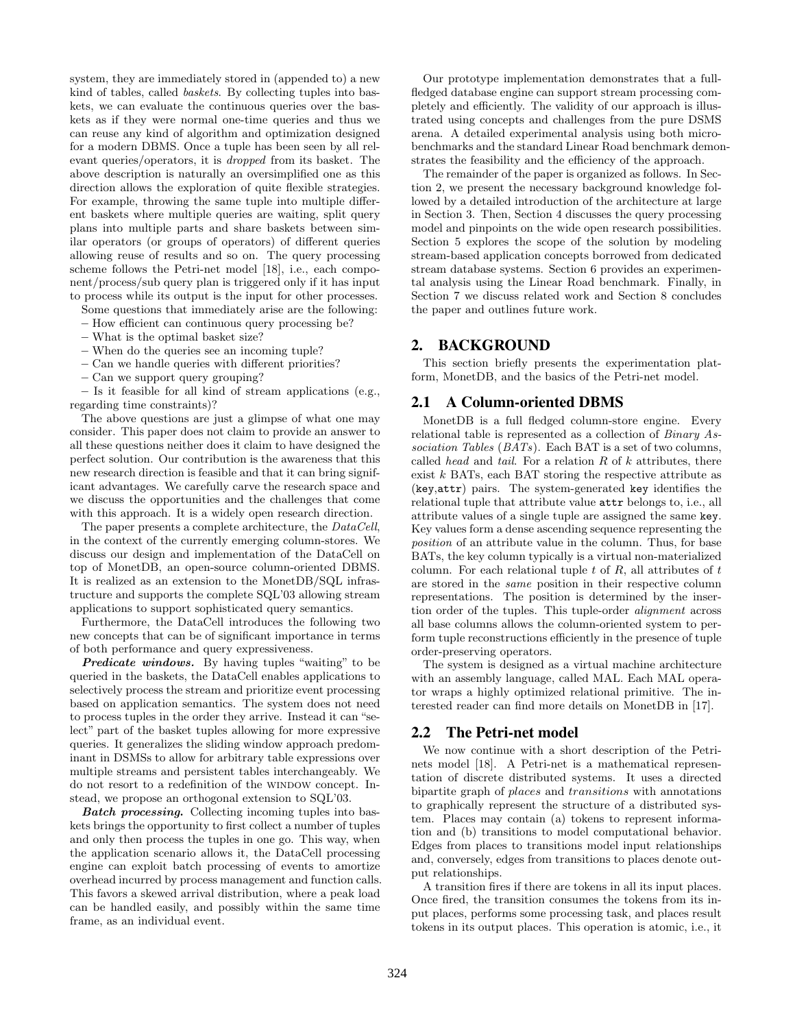system, they are immediately stored in (appended to) a new kind of tables, called baskets. By collecting tuples into baskets, we can evaluate the continuous queries over the baskets as if they were normal one-time queries and thus we can reuse any kind of algorithm and optimization designed for a modern DBMS. Once a tuple has been seen by all relevant queries/operators, it is dropped from its basket. The above description is naturally an oversimplified one as this direction allows the exploration of quite flexible strategies. For example, throwing the same tuple into multiple different baskets where multiple queries are waiting, split query plans into multiple parts and share baskets between similar operators (or groups of operators) of different queries allowing reuse of results and so on. The query processing scheme follows the Petri-net model [18], i.e., each component/process/sub query plan is triggered only if it has input to process while its output is the input for other processes.

Some questions that immediately arise are the following: – How efficient can continuous query processing be?

- What is the optimal basket size?
- When do the queries see an incoming tuple?
- Can we handle queries with different priorities?
- Can we support query grouping?

– Is it feasible for all kind of stream applications (e.g., regarding time constraints)?

The above questions are just a glimpse of what one may consider. This paper does not claim to provide an answer to all these questions neither does it claim to have designed the perfect solution. Our contribution is the awareness that this new research direction is feasible and that it can bring significant advantages. We carefully carve the research space and we discuss the opportunities and the challenges that come with this approach. It is a widely open research direction.

The paper presents a complete architecture, the DataCell, in the context of the currently emerging column-stores. We discuss our design and implementation of the DataCell on top of MonetDB, an open-source column-oriented DBMS. It is realized as an extension to the MonetDB/SQL infrastructure and supports the complete SQL'03 allowing stream applications to support sophisticated query semantics.

Furthermore, the DataCell introduces the following two new concepts that can be of significant importance in terms of both performance and query expressiveness.

Predicate windows. By having tuples "waiting" to be queried in the baskets, the DataCell enables applications to selectively process the stream and prioritize event processing based on application semantics. The system does not need to process tuples in the order they arrive. Instead it can "select" part of the basket tuples allowing for more expressive queries. It generalizes the sliding window approach predominant in DSMSs to allow for arbitrary table expressions over multiple streams and persistent tables interchangeably. We do not resort to a redefinition of the WINDOW concept. Instead, we propose an orthogonal extension to SQL'03.

Batch processing. Collecting incoming tuples into baskets brings the opportunity to first collect a number of tuples and only then process the tuples in one go. This way, when the application scenario allows it, the DataCell processing engine can exploit batch processing of events to amortize overhead incurred by process management and function calls. This favors a skewed arrival distribution, where a peak load can be handled easily, and possibly within the same time frame, as an individual event.

Our prototype implementation demonstrates that a fullfledged database engine can support stream processing completely and efficiently. The validity of our approach is illustrated using concepts and challenges from the pure DSMS arena. A detailed experimental analysis using both microbenchmarks and the standard Linear Road benchmark demonstrates the feasibility and the efficiency of the approach.

The remainder of the paper is organized as follows. In Section 2, we present the necessary background knowledge followed by a detailed introduction of the architecture at large in Section 3. Then, Section 4 discusses the query processing model and pinpoints on the wide open research possibilities. Section 5 explores the scope of the solution by modeling stream-based application concepts borrowed from dedicated stream database systems. Section 6 provides an experimental analysis using the Linear Road benchmark. Finally, in Section 7 we discuss related work and Section 8 concludes the paper and outlines future work.

#### 2. BACKGROUND

This section briefly presents the experimentation platform, MonetDB, and the basics of the Petri-net model.

#### 2.1 A Column-oriented DBMS

MonetDB is a full fledged column-store engine. Every relational table is represented as a collection of Binary Association Tables (BATs). Each BAT is a set of two columns, called *head* and *tail*. For a relation  $R$  of  $k$  attributes, there exist k BATs, each BAT storing the respective attribute as (key,attr) pairs. The system-generated key identifies the relational tuple that attribute value attr belongs to, i.e., all attribute values of a single tuple are assigned the same key. Key values form a dense ascending sequence representing the position of an attribute value in the column. Thus, for base BATs, the key column typically is a virtual non-materialized column. For each relational tuple  $t$  of  $R$ , all attributes of  $t$ are stored in the same position in their respective column representations. The position is determined by the insertion order of the tuples. This tuple-order alignment across all base columns allows the column-oriented system to perform tuple reconstructions efficiently in the presence of tuple order-preserving operators.

The system is designed as a virtual machine architecture with an assembly language, called MAL. Each MAL operator wraps a highly optimized relational primitive. The interested reader can find more details on MonetDB in [17].

#### 2.2 The Petri-net model

We now continue with a short description of the Petrinets model [18]. A Petri-net is a mathematical representation of discrete distributed systems. It uses a directed bipartite graph of places and transitions with annotations to graphically represent the structure of a distributed system. Places may contain (a) tokens to represent information and (b) transitions to model computational behavior. Edges from places to transitions model input relationships and, conversely, edges from transitions to places denote output relationships.

A transition fires if there are tokens in all its input places. Once fired, the transition consumes the tokens from its input places, performs some processing task, and places result tokens in its output places. This operation is atomic, i.e., it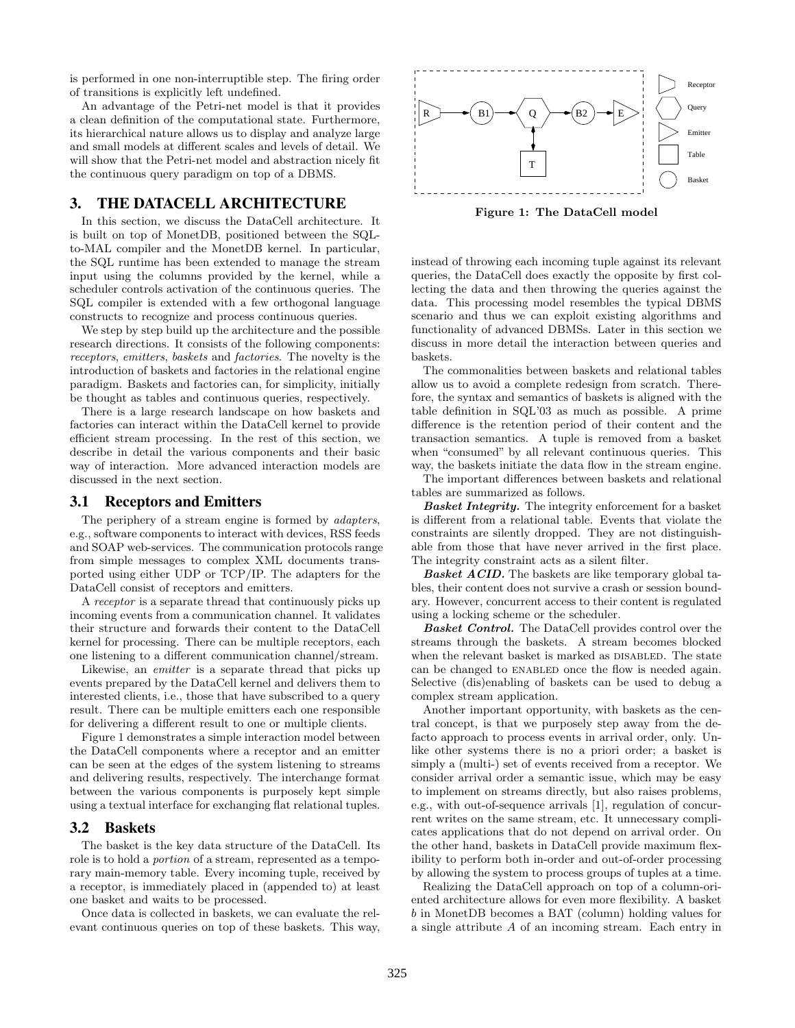is performed in one non-interruptible step. The firing order of transitions is explicitly left undefined.

An advantage of the Petri-net model is that it provides a clean definition of the computational state. Furthermore, its hierarchical nature allows us to display and analyze large and small models at different scales and levels of detail. We will show that the Petri-net model and abstraction nicely fit the continuous query paradigm on top of a DBMS.

## 3. THE DATACELL ARCHITECTURE

In this section, we discuss the DataCell architecture. It is built on top of MonetDB, positioned between the SQLto-MAL compiler and the MonetDB kernel. In particular, the SQL runtime has been extended to manage the stream input using the columns provided by the kernel, while a scheduler controls activation of the continuous queries. The SQL compiler is extended with a few orthogonal language constructs to recognize and process continuous queries.

We step by step build up the architecture and the possible research directions. It consists of the following components: receptors, emitters, baskets and factories. The novelty is the introduction of baskets and factories in the relational engine paradigm. Baskets and factories can, for simplicity, initially be thought as tables and continuous queries, respectively.

There is a large research landscape on how baskets and factories can interact within the DataCell kernel to provide efficient stream processing. In the rest of this section, we describe in detail the various components and their basic way of interaction. More advanced interaction models are discussed in the next section.

#### 3.1 Receptors and Emitters

The periphery of a stream engine is formed by *adapters*, e.g., software components to interact with devices, RSS feeds and SOAP web-services. The communication protocols range from simple messages to complex XML documents transported using either UDP or TCP/IP. The adapters for the DataCell consist of receptors and emitters.

A receptor is a separate thread that continuously picks up incoming events from a communication channel. It validates their structure and forwards their content to the DataCell kernel for processing. There can be multiple receptors, each one listening to a different communication channel/stream.

Likewise, an *emitter* is a separate thread that picks up events prepared by the DataCell kernel and delivers them to interested clients, i.e., those that have subscribed to a query result. There can be multiple emitters each one responsible for delivering a different result to one or multiple clients.

Figure 1 demonstrates a simple interaction model between the DataCell components where a receptor and an emitter can be seen at the edges of the system listening to streams and delivering results, respectively. The interchange format between the various components is purposely kept simple using a textual interface for exchanging flat relational tuples.

#### 3.2 Baskets

The basket is the key data structure of the DataCell. Its role is to hold a portion of a stream, represented as a temporary main-memory table. Every incoming tuple, received by a receptor, is immediately placed in (appended to) at least one basket and waits to be processed.

Once data is collected in baskets, we can evaluate the relevant continuous queries on top of these baskets. This way,



Figure 1: The DataCell model

instead of throwing each incoming tuple against its relevant queries, the DataCell does exactly the opposite by first collecting the data and then throwing the queries against the data. This processing model resembles the typical DBMS scenario and thus we can exploit existing algorithms and functionality of advanced DBMSs. Later in this section we discuss in more detail the interaction between queries and baskets.

The commonalities between baskets and relational tables allow us to avoid a complete redesign from scratch. Therefore, the syntax and semantics of baskets is aligned with the table definition in SQL'03 as much as possible. A prime difference is the retention period of their content and the transaction semantics. A tuple is removed from a basket when "consumed" by all relevant continuous queries. This way, the baskets initiate the data flow in the stream engine.

The important differences between baskets and relational tables are summarized as follows.

**Basket Integrity.** The integrity enforcement for a basket is different from a relational table. Events that violate the constraints are silently dropped. They are not distinguishable from those that have never arrived in the first place. The integrity constraint acts as a silent filter.

**Basket ACID.** The baskets are like temporary global tables, their content does not survive a crash or session boundary. However, concurrent access to their content is regulated using a locking scheme or the scheduler.

**Basket Control.** The DataCell provides control over the streams through the baskets. A stream becomes blocked when the relevant basket is marked as DISABLED. The state can be changed to ENABLED once the flow is needed again. Selective (dis)enabling of baskets can be used to debug a complex stream application.

Another important opportunity, with baskets as the central concept, is that we purposely step away from the defacto approach to process events in arrival order, only. Unlike other systems there is no a priori order; a basket is simply a (multi-) set of events received from a receptor. We consider arrival order a semantic issue, which may be easy to implement on streams directly, but also raises problems, e.g., with out-of-sequence arrivals [1], regulation of concurrent writes on the same stream, etc. It unnecessary complicates applications that do not depend on arrival order. On the other hand, baskets in DataCell provide maximum flexibility to perform both in-order and out-of-order processing by allowing the system to process groups of tuples at a time.

Realizing the DataCell approach on top of a column-oriented architecture allows for even more flexibility. A basket b in MonetDB becomes a BAT (column) holding values for a single attribute A of an incoming stream. Each entry in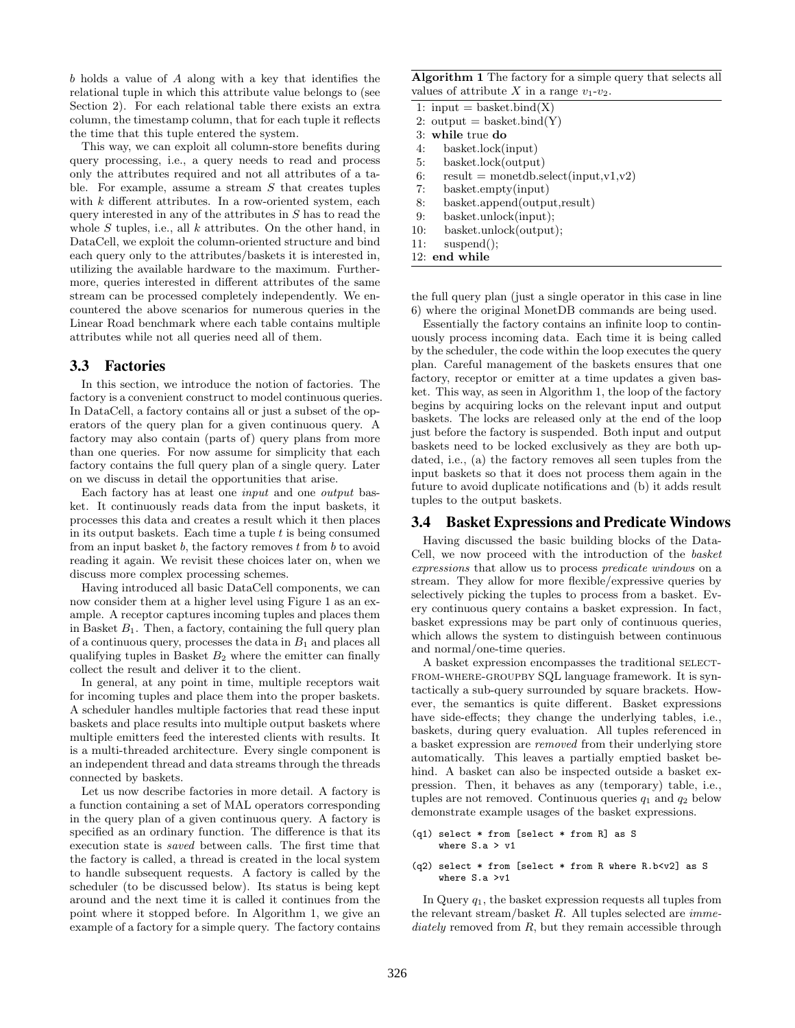b holds a value of A along with a key that identifies the relational tuple in which this attribute value belongs to (see Section 2). For each relational table there exists an extra column, the timestamp column, that for each tuple it reflects the time that this tuple entered the system.

This way, we can exploit all column-store benefits during query processing, i.e., a query needs to read and process only the attributes required and not all attributes of a table. For example, assume a stream  $S$  that creates tuples with  $k$  different attributes. In a row-oriented system, each query interested in any of the attributes in  $S$  has to read the whole  $S$  tuples, i.e., all  $k$  attributes. On the other hand, in DataCell, we exploit the column-oriented structure and bind each query only to the attributes/baskets it is interested in, utilizing the available hardware to the maximum. Furthermore, queries interested in different attributes of the same stream can be processed completely independently. We encountered the above scenarios for numerous queries in the Linear Road benchmark where each table contains multiple attributes while not all queries need all of them.

#### 3.3 Factories

In this section, we introduce the notion of factories. The factory is a convenient construct to model continuous queries. In DataCell, a factory contains all or just a subset of the operators of the query plan for a given continuous query. A factory may also contain (parts of) query plans from more than one queries. For now assume for simplicity that each factory contains the full query plan of a single query. Later on we discuss in detail the opportunities that arise.

Each factory has at least one input and one output basket. It continuously reads data from the input baskets, it processes this data and creates a result which it then places in its output baskets. Each time a tuple  $t$  is being consumed from an input basket  $b$ , the factory removes  $t$  from  $b$  to avoid reading it again. We revisit these choices later on, when we discuss more complex processing schemes.

Having introduced all basic DataCell components, we can now consider them at a higher level using Figure 1 as an example. A receptor captures incoming tuples and places them in Basket  $B_1$ . Then, a factory, containing the full query plan of a continuous query, processes the data in  $B_1$  and places all qualifying tuples in Basket  $B_2$  where the emitter can finally collect the result and deliver it to the client.

In general, at any point in time, multiple receptors wait for incoming tuples and place them into the proper baskets. A scheduler handles multiple factories that read these input baskets and place results into multiple output baskets where multiple emitters feed the interested clients with results. It is a multi-threaded architecture. Every single component is an independent thread and data streams through the threads connected by baskets.

Let us now describe factories in more detail. A factory is a function containing a set of MAL operators corresponding in the query plan of a given continuous query. A factory is specified as an ordinary function. The difference is that its execution state is saved between calls. The first time that the factory is called, a thread is created in the local system to handle subsequent requests. A factory is called by the scheduler (to be discussed below). Its status is being kept around and the next time it is called it continues from the point where it stopped before. In Algorithm 1, we give an example of a factory for a simple query. The factory contains Algorithm 1 The factory for a simple query that selects all values of attribute X in a range  $v_1-v_2$ .

- 1: input = basket.bind $(X)$
- 2: output = basket.bind $(Y)$
- 3: while true do
- 4: basket.lock(input)
- 5: basket.lock(output)
- 6: result = monetdb.select(input,v1,v2)
- 7: basket.empty(input)
- 8: basket.append(output,result)
- 9: basket.unlock(input);
- 10: basket.unlock(output);
- 11: suspend();
- 12: end while

the full query plan (just a single operator in this case in line 6) where the original MonetDB commands are being used.

Essentially the factory contains an infinite loop to continuously process incoming data. Each time it is being called by the scheduler, the code within the loop executes the query plan. Careful management of the baskets ensures that one factory, receptor or emitter at a time updates a given basket. This way, as seen in Algorithm 1, the loop of the factory begins by acquiring locks on the relevant input and output baskets. The locks are released only at the end of the loop just before the factory is suspended. Both input and output baskets need to be locked exclusively as they are both updated, i.e., (a) the factory removes all seen tuples from the input baskets so that it does not process them again in the future to avoid duplicate notifications and (b) it adds result tuples to the output baskets.

#### 3.4 Basket Expressions and Predicate Windows

Having discussed the basic building blocks of the Data-Cell, we now proceed with the introduction of the basket expressions that allow us to process predicate windows on a stream. They allow for more flexible/expressive queries by selectively picking the tuples to process from a basket. Every continuous query contains a basket expression. In fact, basket expressions may be part only of continuous queries, which allows the system to distinguish between continuous and normal/one-time queries.

A basket expression encompasses the traditional SELECT-FROM-WHERE-GROUPBY SQL language framework. It is syntactically a sub-query surrounded by square brackets. However, the semantics is quite different. Basket expressions have side-effects; they change the underlying tables, i.e., baskets, during query evaluation. All tuples referenced in a basket expression are removed from their underlying store automatically. This leaves a partially emptied basket behind. A basket can also be inspected outside a basket expression. Then, it behaves as any (temporary) table, i.e., tuples are not removed. Continuous queries  $q_1$  and  $q_2$  below demonstrate example usages of the basket expressions.

#### (q1) select \* from [select \* from R] as S where S.a > v1

#### (q2) select  $*$  from [select  $*$  from R where R.b<v2] as S where S.a >v1

In Query  $q_1$ , the basket expression requests all tuples from the relevant stream/basket  $R$ . All tuples selected are *imme*diately removed from  $R$ , but they remain accessible through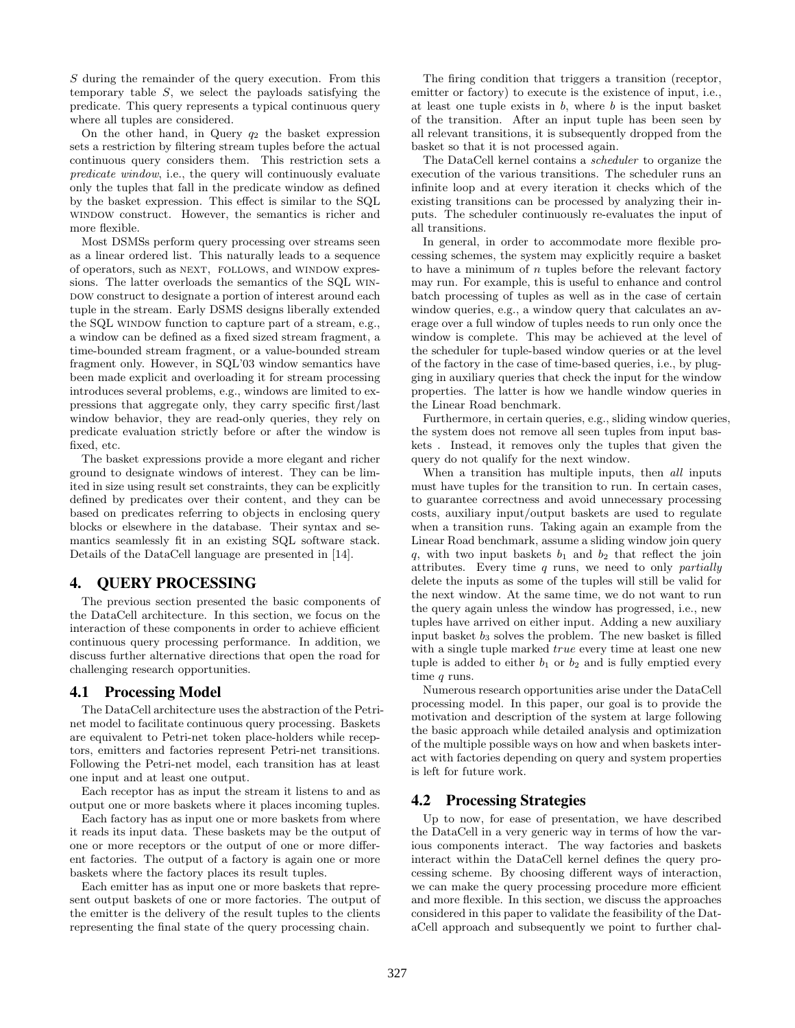S during the remainder of the query execution. From this temporary table  $S$ , we select the payloads satisfying the predicate. This query represents a typical continuous query where all tuples are considered.

On the other hand, in Query  $q_2$  the basket expression sets a restriction by filtering stream tuples before the actual continuous query considers them. This restriction sets a predicate window, i.e., the query will continuously evaluate only the tuples that fall in the predicate window as defined by the basket expression. This effect is similar to the SQL window construct. However, the semantics is richer and more flexible.

Most DSMSs perform query processing over streams seen as a linear ordered list. This naturally leads to a sequence of operators, such as NEXT, FOLLOWS, and WINDOW expressions. The latter overloads the semantics of the SQL window construct to designate a portion of interest around each tuple in the stream. Early DSMS designs liberally extended the SQL window function to capture part of a stream, e.g., a window can be defined as a fixed sized stream fragment, a time-bounded stream fragment, or a value-bounded stream fragment only. However, in SQL'03 window semantics have been made explicit and overloading it for stream processing introduces several problems, e.g., windows are limited to expressions that aggregate only, they carry specific first/last window behavior, they are read-only queries, they rely on predicate evaluation strictly before or after the window is fixed, etc.

The basket expressions provide a more elegant and richer ground to designate windows of interest. They can be limited in size using result set constraints, they can be explicitly defined by predicates over their content, and they can be based on predicates referring to objects in enclosing query blocks or elsewhere in the database. Their syntax and semantics seamlessly fit in an existing SQL software stack. Details of the DataCell language are presented in [14].

## 4. QUERY PROCESSING

The previous section presented the basic components of the DataCell architecture. In this section, we focus on the interaction of these components in order to achieve efficient continuous query processing performance. In addition, we discuss further alternative directions that open the road for challenging research opportunities.

## 4.1 Processing Model

The DataCell architecture uses the abstraction of the Petrinet model to facilitate continuous query processing. Baskets are equivalent to Petri-net token place-holders while receptors, emitters and factories represent Petri-net transitions. Following the Petri-net model, each transition has at least one input and at least one output.

Each receptor has as input the stream it listens to and as output one or more baskets where it places incoming tuples.

Each factory has as input one or more baskets from where it reads its input data. These baskets may be the output of one or more receptors or the output of one or more different factories. The output of a factory is again one or more baskets where the factory places its result tuples.

Each emitter has as input one or more baskets that represent output baskets of one or more factories. The output of the emitter is the delivery of the result tuples to the clients representing the final state of the query processing chain.

The firing condition that triggers a transition (receptor, emitter or factory) to execute is the existence of input, i.e., at least one tuple exists in  $b$ , where  $b$  is the input basket of the transition. After an input tuple has been seen by all relevant transitions, it is subsequently dropped from the basket so that it is not processed again.

The DataCell kernel contains a scheduler to organize the execution of the various transitions. The scheduler runs an infinite loop and at every iteration it checks which of the existing transitions can be processed by analyzing their inputs. The scheduler continuously re-evaluates the input of all transitions.

In general, in order to accommodate more flexible processing schemes, the system may explicitly require a basket to have a minimum of  $n$  tuples before the relevant factory may run. For example, this is useful to enhance and control batch processing of tuples as well as in the case of certain window queries, e.g., a window query that calculates an average over a full window of tuples needs to run only once the window is complete. This may be achieved at the level of the scheduler for tuple-based window queries or at the level of the factory in the case of time-based queries, i.e., by plugging in auxiliary queries that check the input for the window properties. The latter is how we handle window queries in the Linear Road benchmark.

Furthermore, in certain queries, e.g., sliding window queries, the system does not remove all seen tuples from input baskets . Instead, it removes only the tuples that given the query do not qualify for the next window.

When a transition has multiple inputs, then all inputs must have tuples for the transition to run. In certain cases, to guarantee correctness and avoid unnecessary processing costs, auxiliary input/output baskets are used to regulate when a transition runs. Taking again an example from the Linear Road benchmark, assume a sliding window join query q, with two input baskets  $b_1$  and  $b_2$  that reflect the join attributes. Every time  $q$  runs, we need to only *partially* delete the inputs as some of the tuples will still be valid for the next window. At the same time, we do not want to run the query again unless the window has progressed, i.e., new tuples have arrived on either input. Adding a new auxiliary input basket  $b_3$  solves the problem. The new basket is filled with a single tuple marked *true* every time at least one new tuple is added to either  $b_1$  or  $b_2$  and is fully emptied every time q runs.

Numerous research opportunities arise under the DataCell processing model. In this paper, our goal is to provide the motivation and description of the system at large following the basic approach while detailed analysis and optimization of the multiple possible ways on how and when baskets interact with factories depending on query and system properties is left for future work.

#### 4.2 Processing Strategies

Up to now, for ease of presentation, we have described the DataCell in a very generic way in terms of how the various components interact. The way factories and baskets interact within the DataCell kernel defines the query processing scheme. By choosing different ways of interaction, we can make the query processing procedure more efficient and more flexible. In this section, we discuss the approaches considered in this paper to validate the feasibility of the DataCell approach and subsequently we point to further chal-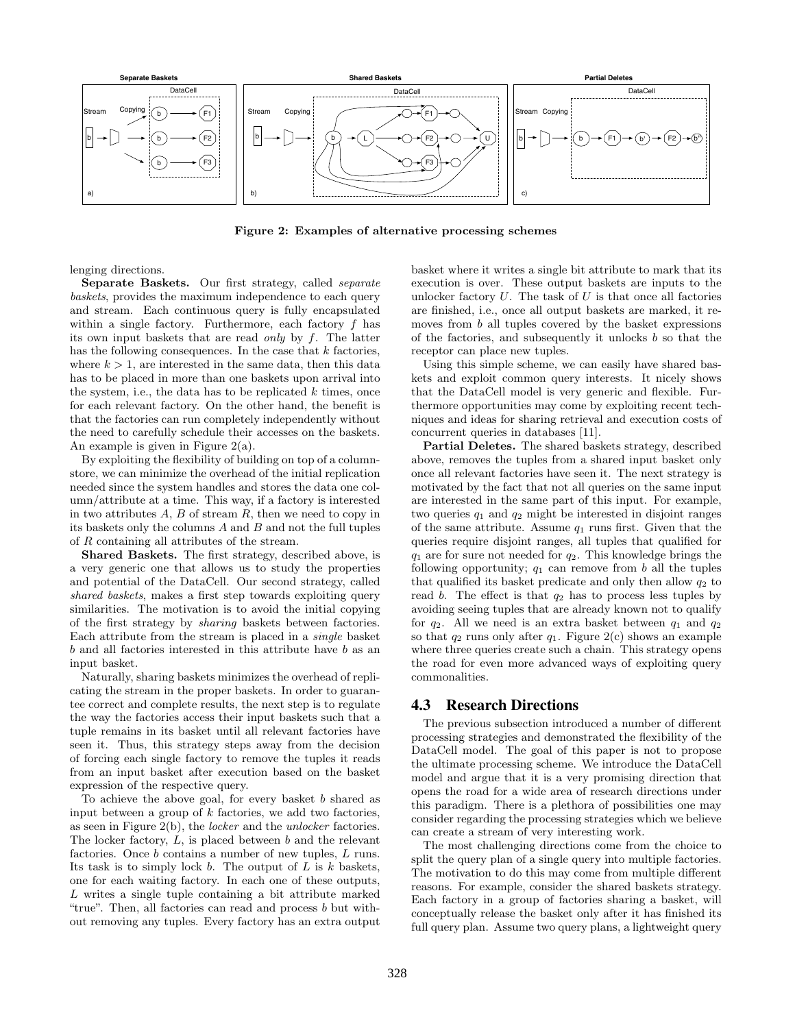

Figure 2: Examples of alternative processing schemes

lenging directions.

Separate Baskets. Our first strategy, called separate baskets, provides the maximum independence to each query and stream. Each continuous query is fully encapsulated within a single factory. Furthermore, each factory f has its own input baskets that are read only by  $f$ . The latter has the following consequences. In the case that  $k$  factories, where  $k > 1$ , are interested in the same data, then this data has to be placed in more than one baskets upon arrival into the system, i.e., the data has to be replicated  $k$  times, once for each relevant factory. On the other hand, the benefit is that the factories can run completely independently without the need to carefully schedule their accesses on the baskets. An example is given in Figure 2(a).

By exploiting the flexibility of building on top of a columnstore, we can minimize the overhead of the initial replication needed since the system handles and stores the data one column/attribute at a time. This way, if a factory is interested in two attributes  $A, B$  of stream  $R$ , then we need to copy in its baskets only the columns  $A$  and  $B$  and not the full tuples of R containing all attributes of the stream.

Shared Baskets. The first strategy, described above, is a very generic one that allows us to study the properties and potential of the DataCell. Our second strategy, called shared baskets, makes a first step towards exploiting query similarities. The motivation is to avoid the initial copying of the first strategy by sharing baskets between factories. Each attribute from the stream is placed in a single basket b and all factories interested in this attribute have b as an input basket.

Naturally, sharing baskets minimizes the overhead of replicating the stream in the proper baskets. In order to guarantee correct and complete results, the next step is to regulate the way the factories access their input baskets such that a tuple remains in its basket until all relevant factories have seen it. Thus, this strategy steps away from the decision of forcing each single factory to remove the tuples it reads from an input basket after execution based on the basket expression of the respective query.

To achieve the above goal, for every basket b shared as input between a group of  $k$  factories, we add two factories, as seen in Figure 2(b), the locker and the unlocker factories. The locker factory,  $L$ , is placed between  $b$  and the relevant factories. Once b contains a number of new tuples, L runs. Its task is to simply lock b. The output of  $L$  is  $k$  baskets, one for each waiting factory. In each one of these outputs, L writes a single tuple containing a bit attribute marked "true". Then, all factories can read and process b but without removing any tuples. Every factory has an extra output basket where it writes a single bit attribute to mark that its execution is over. These output baskets are inputs to the unlocker factory  $U$ . The task of  $U$  is that once all factories are finished, i.e., once all output baskets are marked, it removes from b all tuples covered by the basket expressions of the factories, and subsequently it unlocks b so that the receptor can place new tuples.

Using this simple scheme, we can easily have shared baskets and exploit common query interests. It nicely shows that the DataCell model is very generic and flexible. Furthermore opportunities may come by exploiting recent techniques and ideas for sharing retrieval and execution costs of concurrent queries in databases [11].

Partial Deletes. The shared baskets strategy, described above, removes the tuples from a shared input basket only once all relevant factories have seen it. The next strategy is motivated by the fact that not all queries on the same input are interested in the same part of this input. For example, two queries  $q_1$  and  $q_2$  might be interested in disjoint ranges of the same attribute. Assume  $q_1$  runs first. Given that the queries require disjoint ranges, all tuples that qualified for  $q_1$  are for sure not needed for  $q_2$ . This knowledge brings the following opportunity;  $q_1$  can remove from b all the tuples that qualified its basket predicate and only then allow  $q_2$  to read b. The effect is that  $q_2$  has to process less tuples by avoiding seeing tuples that are already known not to qualify for  $q_2$ . All we need is an extra basket between  $q_1$  and  $q_2$ so that  $q_2$  runs only after  $q_1$ . Figure 2(c) shows an example where three queries create such a chain. This strategy opens the road for even more advanced ways of exploiting query commonalities.

### 4.3 Research Directions

The previous subsection introduced a number of different processing strategies and demonstrated the flexibility of the DataCell model. The goal of this paper is not to propose the ultimate processing scheme. We introduce the DataCell model and argue that it is a very promising direction that opens the road for a wide area of research directions under this paradigm. There is a plethora of possibilities one may consider regarding the processing strategies which we believe can create a stream of very interesting work.

The most challenging directions come from the choice to split the query plan of a single query into multiple factories. The motivation to do this may come from multiple different reasons. For example, consider the shared baskets strategy. Each factory in a group of factories sharing a basket, will conceptually release the basket only after it has finished its full query plan. Assume two query plans, a lightweight query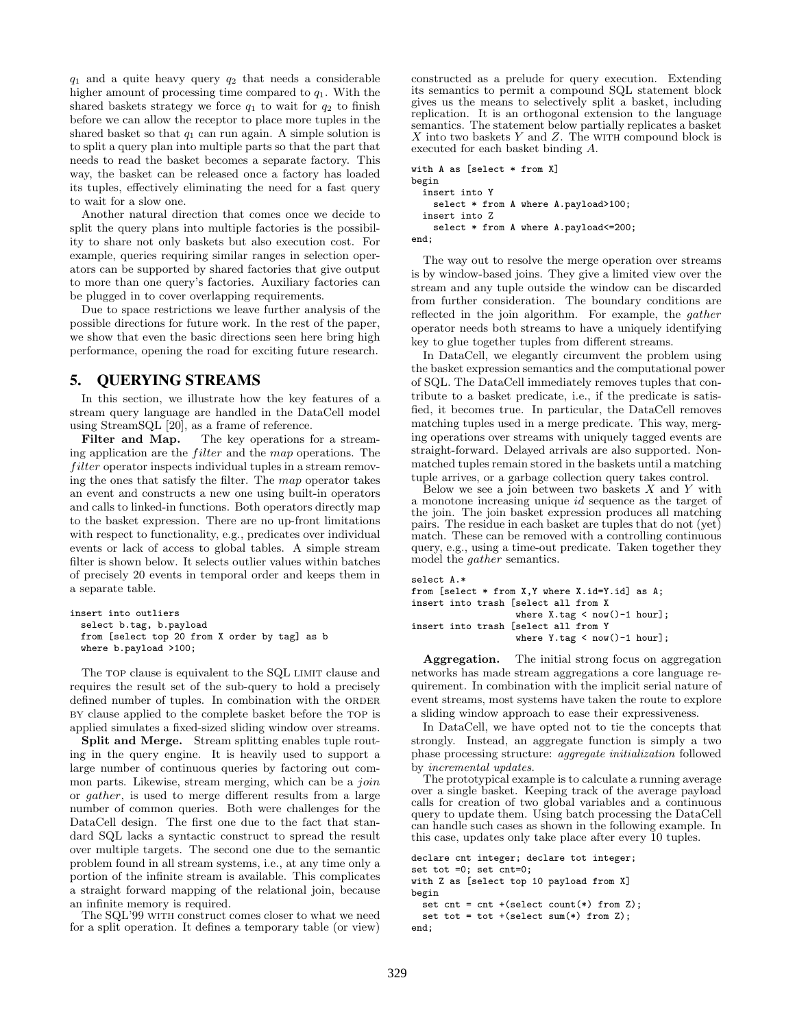$q_1$  and a quite heavy query  $q_2$  that needs a considerable higher amount of processing time compared to  $q_1$ . With the shared baskets strategy we force  $q_1$  to wait for  $q_2$  to finish before we can allow the receptor to place more tuples in the shared basket so that  $q_1$  can run again. A simple solution is to split a query plan into multiple parts so that the part that needs to read the basket becomes a separate factory. This way, the basket can be released once a factory has loaded its tuples, effectively eliminating the need for a fast query to wait for a slow one.

Another natural direction that comes once we decide to split the query plans into multiple factories is the possibility to share not only baskets but also execution cost. For example, queries requiring similar ranges in selection operators can be supported by shared factories that give output to more than one query's factories. Auxiliary factories can be plugged in to cover overlapping requirements.

Due to space restrictions we leave further analysis of the possible directions for future work. In the rest of the paper, we show that even the basic directions seen here bring high performance, opening the road for exciting future research.

## 5. QUERYING STREAMS

In this section, we illustrate how the key features of a stream query language are handled in the DataCell model using StreamSQL [20], as a frame of reference.

Filter and Map. The key operations for a streaming application are the *filter* and the *map* operations. The filter operator inspects individual tuples in a stream removing the ones that satisfy the filter. The map operator takes an event and constructs a new one using built-in operators and calls to linked-in functions. Both operators directly map to the basket expression. There are no up-front limitations with respect to functionality, e.g., predicates over individual events or lack of access to global tables. A simple stream filter is shown below. It selects outlier values within batches of precisely 20 events in temporal order and keeps them in a separate table.

```
insert into outliers
 select b.tag, b.payload
 from [select top 20 from X order by tag] as b
 where b.payload >100;
```
The top clause is equivalent to the SQL LIMIT clause and requires the result set of the sub-query to hold a precisely defined number of tuples. In combination with the ORDER by clause applied to the complete basket before the top is applied simulates a fixed-sized sliding window over streams.

Split and Merge. Stream splitting enables tuple routing in the query engine. It is heavily used to support a large number of continuous queries by factoring out common parts. Likewise, stream merging, which can be a *join* or gather, is used to merge different results from a large number of common queries. Both were challenges for the DataCell design. The first one due to the fact that standard SQL lacks a syntactic construct to spread the result over multiple targets. The second one due to the semantic problem found in all stream systems, i.e., at any time only a portion of the infinite stream is available. This complicates a straight forward mapping of the relational join, because an infinite memory is required.

The SQL'99 WITH construct comes closer to what we need for a split operation. It defines a temporary table (or view)

constructed as a prelude for query execution. Extending its semantics to permit a compound SQL statement block gives us the means to selectively split a basket, including replication. It is an orthogonal extension to the language semantics. The statement below partially replicates a basket X into two baskets Y and Z. The WITH compound block is executed for each basket binding A.

```
with A as [select * from X]
begin
  insert into Y
    select * from A where A.payload>100;
  insert into Z
    select * from A where A.payload <= 200;
end;
```
The way out to resolve the merge operation over streams is by window-based joins. They give a limited view over the stream and any tuple outside the window can be discarded from further consideration. The boundary conditions are reflected in the join algorithm. For example, the gather operator needs both streams to have a uniquely identifying key to glue together tuples from different streams.

In DataCell, we elegantly circumvent the problem using the basket expression semantics and the computational power of SQL. The DataCell immediately removes tuples that contribute to a basket predicate, i.e., if the predicate is satisfied, it becomes true. In particular, the DataCell removes matching tuples used in a merge predicate. This way, merging operations over streams with uniquely tagged events are straight-forward. Delayed arrivals are also supported. Nonmatched tuples remain stored in the baskets until a matching tuple arrives, or a garbage collection query takes control.

Below we see a join between two baskets  $X$  and  $Y$  with a monotone increasing unique id sequence as the target of the join. The join basket expression produces all matching pairs. The residue in each basket are tuples that do not (yet) match. These can be removed with a controlling continuous query, e.g., using a time-out predicate. Taken together they model the gather semantics.

```
select A.*
from [select * from X,Y where X.id=Y.id] as A;
insert into trash [select all from X
                   where X.tag < now() - 1 hour;
insert into trash [select all from Y
                   where Y.tag < now()-1 hour];
```
Aggregation. The initial strong focus on aggregation networks has made stream aggregations a core language requirement. In combination with the implicit serial nature of event streams, most systems have taken the route to explore a sliding window approach to ease their expressiveness.

In DataCell, we have opted not to tie the concepts that strongly. Instead, an aggregate function is simply a two phase processing structure: aggregate initialization followed by incremental updates.

The prototypical example is to calculate a running average over a single basket. Keeping track of the average payload calls for creation of two global variables and a continuous query to update them. Using batch processing the DataCell can handle such cases as shown in the following example. In this case, updates only take place after every 10 tuples.

```
declare cnt integer; declare tot integer;
set tot =0; set cnt=0;
with Z as [select top 10 payload from X]
begin
 set cnt = cnt + (select count(*) from Z);set tot = tot +(select sum(*) from Z);
end;
```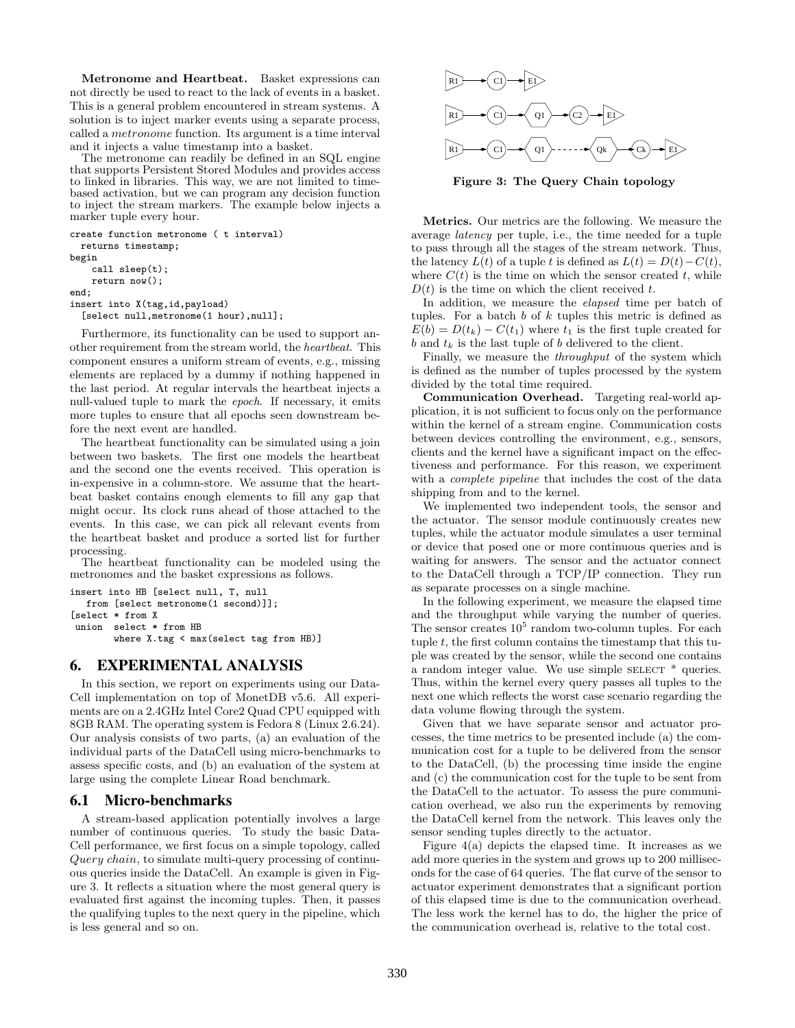Metronome and Heartbeat. Basket expressions can not directly be used to react to the lack of events in a basket. This is a general problem encountered in stream systems. A solution is to inject marker events using a separate process, called a metronome function. Its argument is a time interval and it injects a value timestamp into a basket.

The metronome can readily be defined in an SQL engine that supports Persistent Stored Modules and provides access to linked in libraries. This way, we are not limited to timebased activation, but we can program any decision function to inject the stream markers. The example below injects a marker tuple every hour.

```
create function metronome ( t interval)
 returns timestamp;
begin
    call sleep(t);
   return now();
end;
insert into X(tag,id,payload)
  [select null,metronome(1 hour),null];
```
Furthermore, its functionality can be used to support another requirement from the stream world, the heartbeat. This component ensures a uniform stream of events, e.g., missing elements are replaced by a dummy if nothing happened in the last period. At regular intervals the heartbeat injects a null-valued tuple to mark the epoch. If necessary, it emits more tuples to ensure that all epochs seen downstream before the next event are handled.

The heartbeat functionality can be simulated using a join between two baskets. The first one models the heartbeat and the second one the events received. This operation is in-expensive in a column-store. We assume that the heartbeat basket contains enough elements to fill any gap that might occur. Its clock runs ahead of those attached to the events. In this case, we can pick all relevant events from the heartbeat basket and produce a sorted list for further processing.

The heartbeat functionality can be modeled using the metronomes and the basket expressions as follows.

```
insert into HB [select null, T, null
```
from [select metronome(1 second)]];

```
[select * from X
union select * from HB
```
where X.tag < max(select tag from HB)]

## 6. EXPERIMENTAL ANALYSIS

In this section, we report on experiments using our Data-Cell implementation on top of MonetDB v5.6. All experiments are on a 2.4GHz Intel Core2 Quad CPU equipped with 8GB RAM. The operating system is Fedora 8 (Linux 2.6.24). Our analysis consists of two parts, (a) an evaluation of the individual parts of the DataCell using micro-benchmarks to assess specific costs, and (b) an evaluation of the system at large using the complete Linear Road benchmark.

## 6.1 Micro-benchmarks

A stream-based application potentially involves a large number of continuous queries. To study the basic Data-Cell performance, we first focus on a simple topology, called Query chain, to simulate multi-query processing of continuous queries inside the DataCell. An example is given in Figure 3. It reflects a situation where the most general query is evaluated first against the incoming tuples. Then, it passes the qualifying tuples to the next query in the pipeline, which is distinction of the main of the constraints with the energy is equilible to the main of the main of the main of the main of the main of the main of the main of the main of the main of the main of the main of the main o



Figure 3: The Query Chain topology

Metrics. Our metrics are the following. We measure the average latency per tuple, i.e., the time needed for a tuple to pass through all the stages of the stream network. Thus, the latency  $L(t)$  of a tuple t is defined as  $L(t) = D(t) - C(t)$ , where  $C(t)$  is the time on which the sensor created t, while  $D(t)$  is the time on which the client received t.

In addition, we measure the elapsed time per batch of tuples. For a batch b of k tuples this metric is defined as  $E(b) = D(t_k) - C(t_1)$  where  $t_1$  is the first tuple created for  $b$  and  $t_k$  is the last tuple of  $b$  delivered to the client.

Finally, we measure the throughput of the system which is defined as the number of tuples processed by the system divided by the total time required.

Communication Overhead. Targeting real-world application, it is not sufficient to focus only on the performance within the kernel of a stream engine. Communication costs between devices controlling the environment, e.g., sensors, clients and the kernel have a significant impact on the effectiveness and performance. For this reason, we experiment with a complete pipeline that includes the cost of the data shipping from and to the kernel.

We implemented two independent tools, the sensor and the actuator. The sensor module continuously creates new tuples, while the actuator module simulates a user terminal or device that posed one or more continuous queries and is waiting for answers. The sensor and the actuator connect to the DataCell through a TCP/IP connection. They run as separate processes on a single machine.

In the following experiment, we measure the elapsed time and the throughput while varying the number of queries. The sensor creates  $10^5$  random two-column tuples. For each tuple  $t$ , the first column contains the timestamp that this tuple was created by the sensor, while the second one contains a random integer value. We use simple  $SELECT * queries$ . Thus, within the kernel every query passes all tuples to the next one which reflects the worst case scenario regarding the data volume flowing through the system.

Given that we have separate sensor and actuator processes, the time metrics to be presented include (a) the communication cost for a tuple to be delivered from the sensor to the DataCell, (b) the processing time inside the engine and (c) the communication cost for the tuple to be sent from the DataCell to the actuator. To assess the pure communication overhead, we also run the experiments by removing the DataCell kernel from the network. This leaves only the sensor sending tuples directly to the actuator.

Figure 4(a) depicts the elapsed time. It increases as we add more queries in the system and grows up to 200 milliseconds for the case of 64 queries. The flat curve of the sensor to actuator experiment demonstrates that a significant portion of this elapsed time is due to the communication overhead. The less work the kernel has to do, the higher the price of the communication overhead is, relative to the total cost.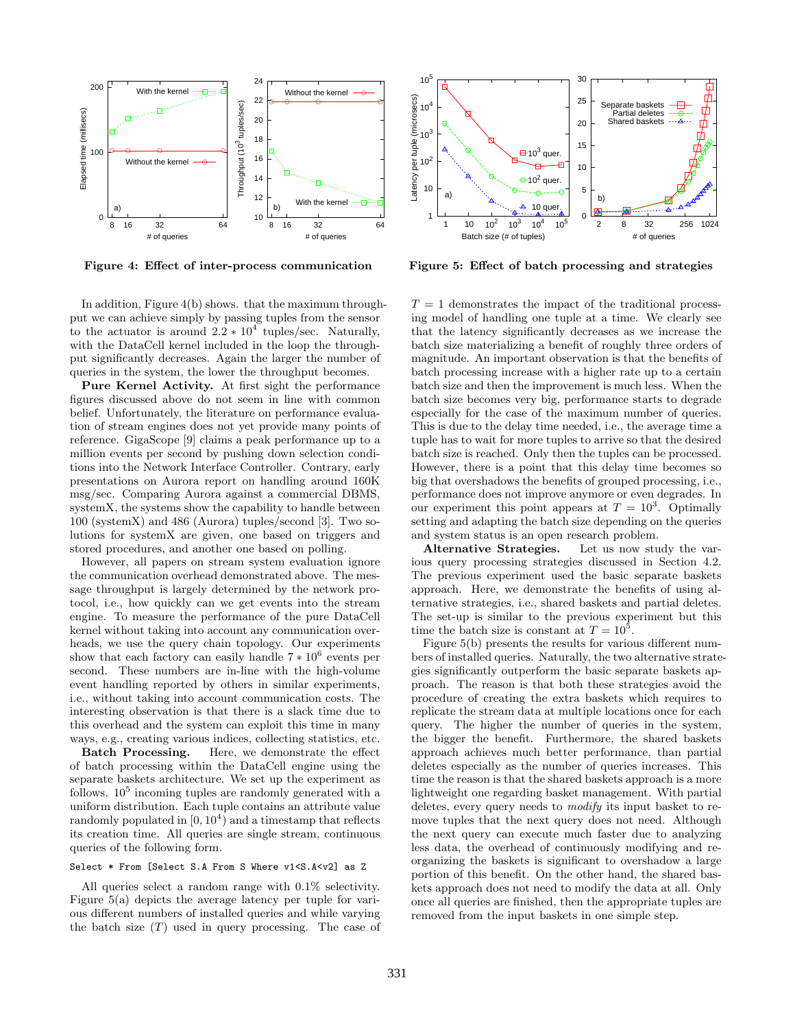

Figure 4: Effect of inter-process communication

In addition, Figure 4(b) shows. that the maximum throughput we can achieve simply by passing tuples from the sensor to the actuator is around  $2.2 * 10<sup>4</sup>$  tuples/sec. Naturally, with the DataCell kernel included in the loop the throughput significantly decreases. Again the larger the number of queries in the system, the lower the throughput becomes.

Pure Kernel Activity. At first sight the performance figures discussed above do not seem in line with common belief. Unfortunately, the literature on performance evaluation of stream engines does not yet provide many points of reference. GigaScope [9] claims a peak performance up to a million events per second by pushing down selection conditions into the Network Interface Controller. Contrary, early presentations on Aurora report on handling around 160K msg/sec. Comparing Aurora against a commercial DBMS, systemX, the systems show the capability to handle between 100 (systemX) and 486 (Aurora) tuples/second [3]. Two solutions for systemX are given, one based on triggers and stored procedures, and another one based on polling.

However, all papers on stream system evaluation ignore the communication overhead demonstrated above. The message throughput is largely determined by the network protocol, i.e., how quickly can we get events into the stream engine. To measure the performance of the pure DataCell kernel without taking into account any communication overheads, we use the query chain topology. Our experiments show that each factory can easily handle  $7 * 10^6$  events per second. These numbers are in-line with the high-volume event handling reported by others in similar experiments, i.e., without taking into account communication costs. The interesting observation is that there is a slack time due to this overhead and the system can exploit this time in many ways, e.g., creating various indices, collecting statistics, etc.

Batch Processing. Here, we demonstrate the effect of batch processing within the DataCell engine using the separate baskets architecture. We set up the experiment as follows.  $10<sup>5</sup>$  incoming tuples are randomly generated with a uniform distribution. Each tuple contains an attribute value randomly populated in  $[0, 10^4)$  and a timestamp that reflects its creation time. All queries are single stream, continuous queries of the following form.

#### Select \* From [Select S.A From S Where v1<S.A<v2] as Z

All queries select a random range with 0.1% selectivity. Figure 5(a) depicts the average latency per tuple for various different numbers of installed queries and while varying the batch size  $(T)$  used in query processing. The case of



Figure 5: Effect of batch processing and strategies

 $T = 1$  demonstrates the impact of the traditional processing model of handling one tuple at a time. We clearly see that the latency significantly decreases as we increase the batch size materializing a benefit of roughly three orders of magnitude. An important observation is that the benefits of batch processing increase with a higher rate up to a certain batch size and then the improvement is much less. When the batch size becomes very big, performance starts to degrade especially for the case of the maximum number of queries. This is due to the delay time needed, i.e., the average time a tuple has to wait for more tuples to arrive so that the desired batch size is reached. Only then the tuples can be processed. However, there is a point that this delay time becomes so big that overshadows the benefits of grouped processing, i.e., performance does not improve anymore or even degrades. In our experiment this point appears at  $T = 10^3$ . Optimally setting and adapting the batch size depending on the queries and system status is an open research problem.

Alternative Strategies. Let us now study the various query processing strategies discussed in Section 4.2. The previous experiment used the basic separate baskets approach. Here, we demonstrate the benefits of using alternative strategies, i.e., shared baskets and partial deletes. The set-up is similar to the previous experiment but this time the batch size is constant at  $T = 10^5$ .

Figure 5(b) presents the results for various different numbers of installed queries. Naturally, the two alternative strategies significantly outperform the basic separate baskets approach. The reason is that both these strategies avoid the procedure of creating the extra baskets which requires to replicate the stream data at multiple locations once for each query. The higher the number of queries in the system, the bigger the benefit. Furthermore, the shared baskets approach achieves much better performance, than partial deletes especially as the number of queries increases. This time the reason is that the shared baskets approach is a more lightweight one regarding basket management. With partial deletes, every query needs to modify its input basket to remove tuples that the next query does not need. Although the next query can execute much faster due to analyzing less data, the overhead of continuously modifying and reorganizing the baskets is significant to overshadow a large portion of this benefit. On the other hand, the shared baskets approach does not need to modify the data at all. Only once all queries are finished, then the appropriate tuples are removed from the input baskets in one simple step.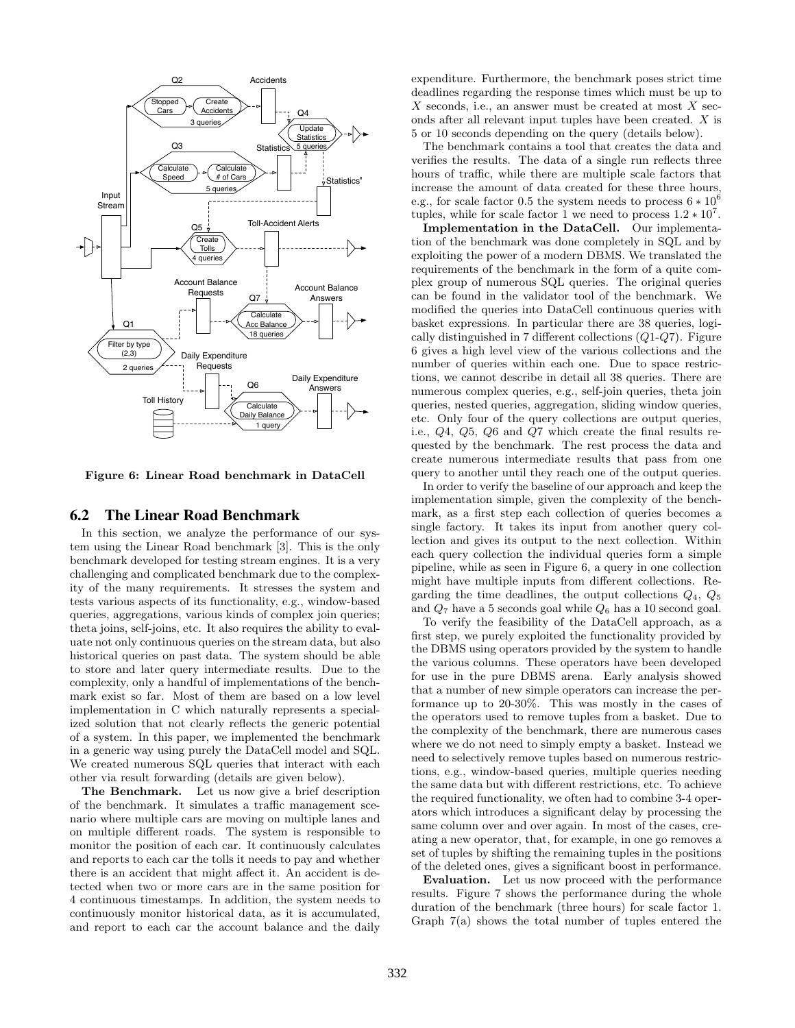

Figure 6: Linear Road benchmark in DataCell

#### 6.2 The Linear Road Benchmark

In this section, we analyze the performance of our system using the Linear Road benchmark [3]. This is the only benchmark developed for testing stream engines. It is a very challenging and complicated benchmark due to the complexity of the many requirements. It stresses the system and tests various aspects of its functionality, e.g., window-based queries, aggregations, various kinds of complex join queries; theta joins, self-joins, etc. It also requires the ability to evaluate not only continuous queries on the stream data, but also historical queries on past data. The system should be able to store and later query intermediate results. Due to the complexity, only a handful of implementations of the benchmark exist so far. Most of them are based on a low level implementation in C which naturally represents a specialized solution that not clearly reflects the generic potential of a system. In this paper, we implemented the benchmark in a generic way using purely the DataCell model and SQL. We created numerous SQL queries that interact with each other via result forwarding (details are given below).

The Benchmark. Let us now give a brief description of the benchmark. It simulates a traffic management scenario where multiple cars are moving on multiple lanes and on multiple different roads. The system is responsible to monitor the position of each car. It continuously calculates and reports to each car the tolls it needs to pay and whether there is an accident that might affect it. An accident is detected when two or more cars are in the same position for 4 continuous timestamps. In addition, the system needs to continuously monitor historical data, as it is accumulated, and report to each car the account balance and the daily expenditure. Furthermore, the benchmark poses strict time deadlines regarding the response times which must be up to  $X$  seconds, i.e., an answer must be created at most  $X$  seconds after all relevant input tuples have been created. X is 5 or 10 seconds depending on the query (details below).

The benchmark contains a tool that creates the data and verifies the results. The data of a single run reflects three hours of traffic, while there are multiple scale factors that increase the amount of data created for these three hours, e.g., for scale factor 0.5 the system needs to process  $6 * 10^6$ tuples, while for scale factor 1 we need to process  $1.2 * 10<sup>7</sup>$ .

Implementation in the DataCell. Our implementation of the benchmark was done completely in SQL and by exploiting the power of a modern DBMS. We translated the requirements of the benchmark in the form of a quite complex group of numerous SQL queries. The original queries can be found in the validator tool of the benchmark. We modified the queries into DataCell continuous queries with basket expressions. In particular there are 38 queries, logically distinguished in 7 different collections  $(Q1-Q7)$ . Figure 6 gives a high level view of the various collections and the number of queries within each one. Due to space restrictions, we cannot describe in detail all 38 queries. There are numerous complex queries, e.g., self-join queries, theta join queries, nested queries, aggregation, sliding window queries, etc. Only four of the query collections are output queries, i.e., Q4, Q5, Q6 and Q7 which create the final results requested by the benchmark. The rest process the data and create numerous intermediate results that pass from one query to another until they reach one of the output queries.

In order to verify the baseline of our approach and keep the implementation simple, given the complexity of the benchmark, as a first step each collection of queries becomes a single factory. It takes its input from another query collection and gives its output to the next collection. Within each query collection the individual queries form a simple pipeline, while as seen in Figure 6, a query in one collection might have multiple inputs from different collections. Regarding the time deadlines, the output collections  $Q_4$ ,  $Q_5$ and  $Q_7$  have a 5 seconds goal while  $Q_6$  has a 10 second goal.

To verify the feasibility of the DataCell approach, as a first step, we purely exploited the functionality provided by the DBMS using operators provided by the system to handle the various columns. These operators have been developed for use in the pure DBMS arena. Early analysis showed that a number of new simple operators can increase the performance up to 20-30%. This was mostly in the cases of the operators used to remove tuples from a basket. Due to the complexity of the benchmark, there are numerous cases where we do not need to simply empty a basket. Instead we need to selectively remove tuples based on numerous restrictions, e.g., window-based queries, multiple queries needing the same data but with different restrictions, etc. To achieve the required functionality, we often had to combine 3-4 operators which introduces a significant delay by processing the same column over and over again. In most of the cases, creating a new operator, that, for example, in one go removes a set of tuples by shifting the remaining tuples in the positions of the deleted ones, gives a significant boost in performance.

Evaluation. Let us now proceed with the performance results. Figure 7 shows the performance during the whole duration of the benchmark (three hours) for scale factor 1. Graph 7(a) shows the total number of tuples entered the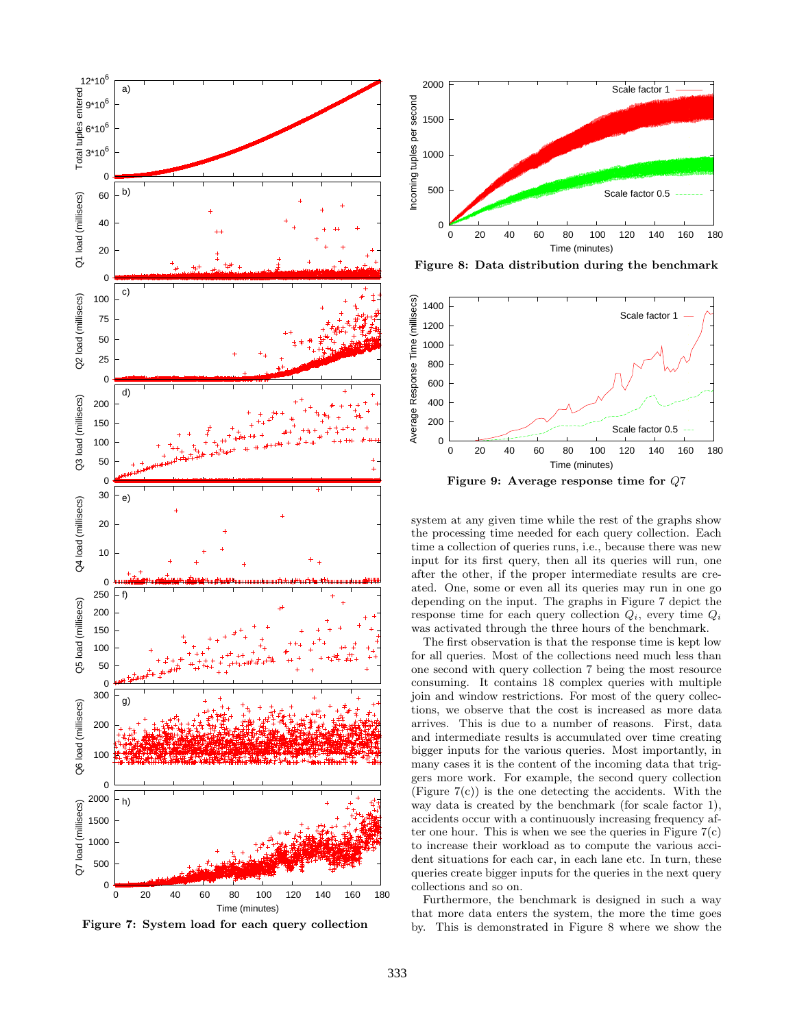

Figure 7: System load for each query collection



Figure 8: Data distribution during the benchmark



system at any given time while the rest of the graphs show the processing time needed for each query collection. Each time a collection of queries runs, i.e., because there was new input for its first query, then all its queries will run, one after the other, if the proper intermediate results are created. One, some or even all its queries may run in one go depending on the input. The graphs in Figure 7 depict the response time for each query collection  $Q_i$ , every time  $Q_i$ was activated through the three hours of the benchmark.

The first observation is that the response time is kept low for all queries. Most of the collections need much less than one second with query collection 7 being the most resource consuming. It contains 18 complex queries with multiple join and window restrictions. For most of the query collections, we observe that the cost is increased as more data arrives. This is due to a number of reasons. First, data and intermediate results is accumulated over time creating bigger inputs for the various queries. Most importantly, in many cases it is the content of the incoming data that triggers more work. For example, the second query collection (Figure  $7(c)$ ) is the one detecting the accidents. With the way data is created by the benchmark (for scale factor 1), accidents occur with a continuously increasing frequency after one hour. This is when we see the queries in Figure  $7(c)$ to increase their workload as to compute the various accident situations for each car, in each lane etc. In turn, these queries create bigger inputs for the queries in the next query collections and so on.

Furthermore, the benchmark is designed in such a way that more data enters the system, the more the time goes by. This is demonstrated in Figure 8 where we show the